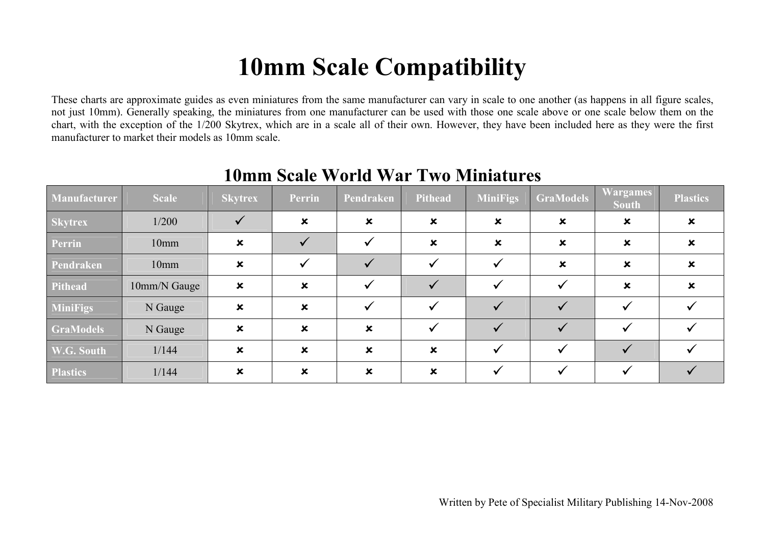## 10mm Scale Compatibility

These charts are approximate guides as even miniatures from the same manufacturer can vary in scale to one another (as happens in all figure scales, not just 10mm). Generally speaking, the miniatures from one manufacturer can be used with those one scale above or one scale below them on the chart, with the exception of the 1/200 Skytrex, which are in a scale all of their own. However, they have been included here as they were the first manufacturer to market their models as 10mm scale.

| Manufacturer     | <b>Scale</b> | <b>Skytrex</b>            | Perrin                    | Pendraken                 | <b>Pithead</b>            | <b>MiniFigs</b>           | <b>GraModels</b>          | <b>Wargames</b><br><b>South</b> | <b>Plastics</b>           |
|------------------|--------------|---------------------------|---------------------------|---------------------------|---------------------------|---------------------------|---------------------------|---------------------------------|---------------------------|
| <b>Skytrex</b>   | 1/200        |                           | $\boldsymbol{\mathsf{x}}$ | $\boldsymbol{\mathsf{x}}$ | $\boldsymbol{\mathsf{x}}$ | $\boldsymbol{\mathsf{x}}$ | $\boldsymbol{\mathsf{x}}$ | $\boldsymbol{\mathsf{x}}$       | $\boldsymbol{\mathsf{x}}$ |
| Perrin           | 10mm         | $\boldsymbol{\mathsf{x}}$ |                           |                           | $\boldsymbol{\mathsf{x}}$ | $\boldsymbol{\mathsf{x}}$ | $\boldsymbol{\mathsf{x}}$ | $\boldsymbol{\mathsf{x}}$       | $\boldsymbol{\mathsf{x}}$ |
| Pendraken        | 10mm         | $\boldsymbol{\mathsf{x}}$ | ✔                         |                           | ✓                         | ✓                         | $\boldsymbol{\mathsf{x}}$ | $\boldsymbol{\mathsf{x}}$       | $\boldsymbol{\mathsf{x}}$ |
| Pithead          | 10mm/N Gauge | $\boldsymbol{\mathsf{x}}$ | $\boldsymbol{\mathsf{x}}$ |                           | $\checkmark$              |                           | $\checkmark$              | $\boldsymbol{\mathsf{x}}$       | $\mathbf x$               |
| <b>MiniFigs</b>  | N Gauge      | $\boldsymbol{\mathsf{x}}$ | $\boldsymbol{\mathsf{x}}$ |                           | $\checkmark$              | $\checkmark$              | $\checkmark$              | $\checkmark$                    |                           |
| <b>GraModels</b> | N Gauge      | $\boldsymbol{\mathsf{x}}$ | $\boldsymbol{\mathsf{x}}$ | $\boldsymbol{\mathsf{x}}$ | $\checkmark$              | $\checkmark$              | $\checkmark$              | $\checkmark$                    |                           |
| W.G. South       | 1/144        | $\boldsymbol{\mathsf{x}}$ | $\boldsymbol{\mathsf{x}}$ | $\boldsymbol{\mathsf{x}}$ | $\boldsymbol{\mathsf{x}}$ | ✓                         | $\checkmark$              |                                 |                           |
| <b>Plastics</b>  | 1/144        | $\boldsymbol{\mathsf{x}}$ | $\boldsymbol{\mathsf{x}}$ | $\pmb{\times}$            | $\boldsymbol{\mathsf{x}}$ |                           |                           |                                 |                           |

## 10mm Scale World War Two Miniatures